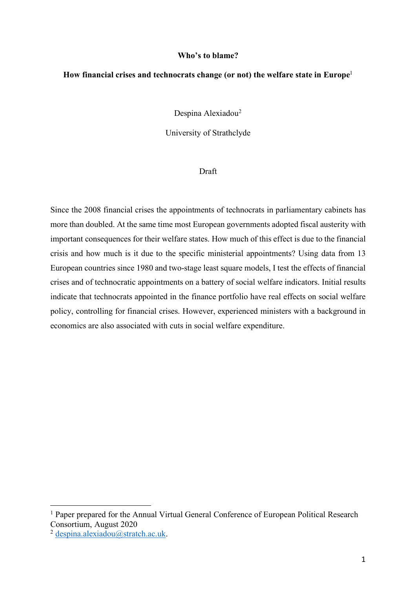### **Who's to blame?**

# **How financial crises and technocrats change (or not) the welfare state in Europe**<sup>1</sup>

Despina Alexiadou<sup>2</sup>

University of Strathclyde

# Draft

Since the 2008 financial crises the appointments of technocrats in parliamentary cabinets has more than doubled. At the same time most European governments adopted fiscal austerity with important consequences for their welfare states. How much of this effect is due to the financial crisis and how much is it due to the specific ministerial appointments? Using data from 13 European countries since 1980 and two-stage least square models, I test the effects of financial crises and of technocratic appointments on a battery of social welfare indicators. Initial results indicate that technocrats appointed in the finance portfolio have real effects on social welfare policy, controlling for financial crises. However, experienced ministers with a background in economics are also associated with cuts in social welfare expenditure.

<sup>&</sup>lt;sup>1</sup> Paper prepared for the Annual Virtual General Conference of European Political Research Consortium, August 2020

<sup>&</sup>lt;sup>2</sup> despina alexiadou@stratch.ac.uk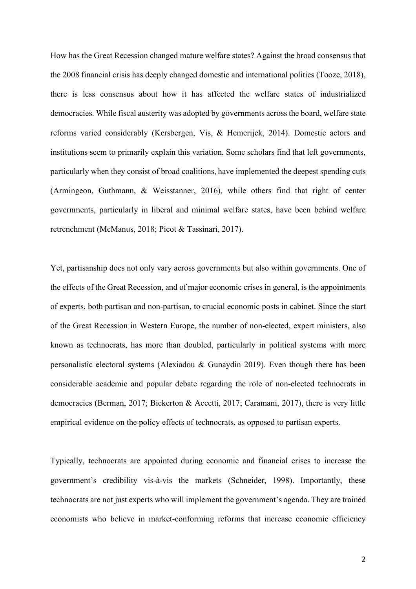How has the Great Recession changed mature welfare states? Against the broad consensus that the 2008 financial crisis has deeply changed domestic and international politics (Tooze, 2018), there is less consensus about how it has affected the welfare states of industrialized democracies. While fiscal austerity was adopted by governments across the board, welfare state reforms varied considerably (Kersbergen, Vis, & Hemerijck, 2014). Domestic actors and institutions seem to primarily explain this variation. Some scholars find that left governments, particularly when they consist of broad coalitions, have implemented the deepest spending cuts (Armingeon, Guthmann, & Weisstanner, 2016), while others find that right of center governments, particularly in liberal and minimal welfare states, have been behind welfare retrenchment (McManus, 2018; Picot & Tassinari, 2017).

Yet, partisanship does not only vary across governments but also within governments. One of the effects of the Great Recession, and of major economic crises in general, is the appointments of experts, both partisan and non-partisan, to crucial economic posts in cabinet. Since the start of the Great Recession in Western Europe, the number of non-elected, expert ministers, also known as technocrats, has more than doubled, particularly in political systems with more personalistic electoral systems (Alexiadou & Gunaydin 2019). Even though there has been considerable academic and popular debate regarding the role of non-elected technocrats in democracies (Berman, 2017; Bickerton & Accetti, 2017; Caramani, 2017), there is very little empirical evidence on the policy effects of technocrats, as opposed to partisan experts.

Typically, technocrats are appointed during economic and financial crises to increase the government's credibility vis-à-vis the markets (Schneider, 1998). Importantly, these technocrats are not just experts who will implement the government's agenda. They are trained economists who believe in market-conforming reforms that increase economic efficiency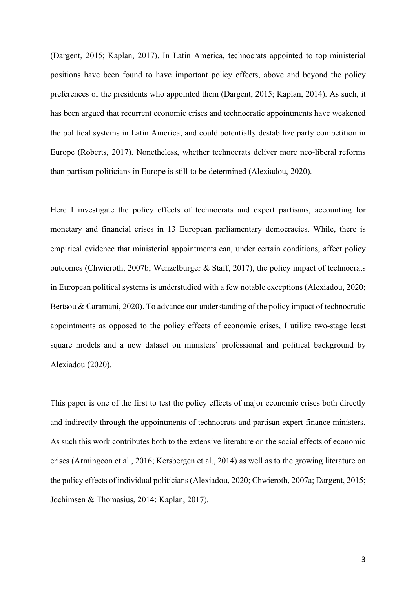(Dargent, 2015; Kaplan, 2017). In Latin America, technocrats appointed to top ministerial positions have been found to have important policy effects, above and beyond the policy preferences of the presidents who appointed them (Dargent, 2015; Kaplan, 2014). As such, it has been argued that recurrent economic crises and technocratic appointments have weakened the political systems in Latin America, and could potentially destabilize party competition in Europe (Roberts, 2017). Nonetheless, whether technocrats deliver more neo-liberal reforms than partisan politicians in Europe is still to be determined (Alexiadou, 2020).

Here I investigate the policy effects of technocrats and expert partisans, accounting for monetary and financial crises in 13 European parliamentary democracies. While, there is empirical evidence that ministerial appointments can, under certain conditions, affect policy outcomes (Chwieroth, 2007b; Wenzelburger & Staff, 2017), the policy impact of technocrats in European political systems is understudied with a few notable exceptions (Alexiadou, 2020; Bertsou & Caramani, 2020). To advance our understanding of the policy impact of technocratic appointments as opposed to the policy effects of economic crises, I utilize two-stage least square models and a new dataset on ministers' professional and political background by Alexiadou (2020).

This paper is one of the first to test the policy effects of major economic crises both directly and indirectly through the appointments of technocrats and partisan expert finance ministers. As such this work contributes both to the extensive literature on the social effects of economic crises (Armingeon et al., 2016; Kersbergen et al., 2014) as well as to the growing literature on the policy effects of individual politicians (Alexiadou, 2020; Chwieroth, 2007a; Dargent, 2015; Jochimsen & Thomasius, 2014; Kaplan, 2017).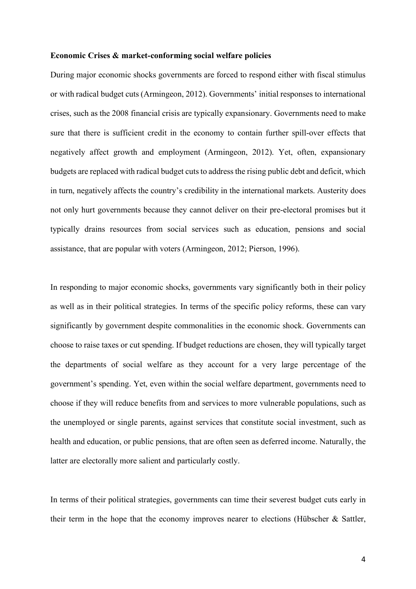#### **Economic Crises & market-conforming social welfare policies**

During major economic shocks governments are forced to respond either with fiscal stimulus or with radical budget cuts (Armingeon, 2012). Governments' initial responses to international crises, such as the 2008 financial crisis are typically expansionary. Governments need to make sure that there is sufficient credit in the economy to contain further spill-over effects that negatively affect growth and employment (Armingeon, 2012). Yet, often, expansionary budgets are replaced with radical budget cuts to address the rising public debt and deficit, which in turn, negatively affects the country's credibility in the international markets. Austerity does not only hurt governments because they cannot deliver on their pre-electoral promises but it typically drains resources from social services such as education, pensions and social assistance, that are popular with voters (Armingeon, 2012; Pierson, 1996).

In responding to major economic shocks, governments vary significantly both in their policy as well as in their political strategies. In terms of the specific policy reforms, these can vary significantly by government despite commonalities in the economic shock. Governments can choose to raise taxes or cut spending. If budget reductions are chosen, they will typically target the departments of social welfare as they account for a very large percentage of the government's spending. Yet, even within the social welfare department, governments need to choose if they will reduce benefits from and services to more vulnerable populations, such as the unemployed or single parents, against services that constitute social investment, such as health and education, or public pensions, that are often seen as deferred income. Naturally, the latter are electorally more salient and particularly costly.

In terms of their political strategies, governments can time their severest budget cuts early in their term in the hope that the economy improves nearer to elections (Hübscher & Sattler,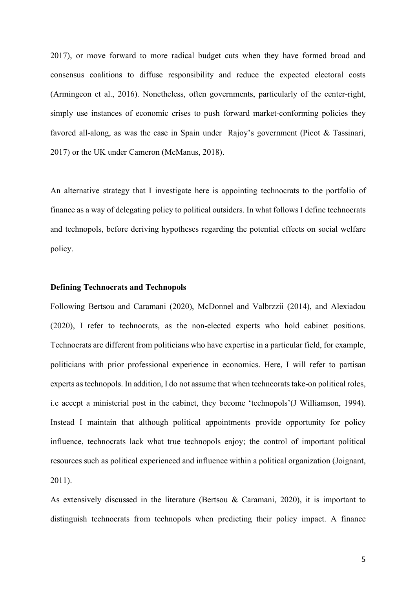2017), or move forward to more radical budget cuts when they have formed broad and consensus coalitions to diffuse responsibility and reduce the expected electoral costs (Armingeon et al., 2016). Nonetheless, often governments, particularly of the center-right, simply use instances of economic crises to push forward market-conforming policies they favored all-along, as was the case in Spain under Rajoy's government (Picot & Tassinari, 2017) or the UK under Cameron (McManus, 2018).

An alternative strategy that I investigate here is appointing technocrats to the portfolio of finance as a way of delegating policy to political outsiders. In what follows I define technocrats and technopols, before deriving hypotheses regarding the potential effects on social welfare policy.

# **Defining Technocrats and Technopols**

Following Bertsou and Caramani (2020), McDonnel and Valbrzzii (2014), and Alexiadou (2020), I refer to technocrats, as the non-elected experts who hold cabinet positions. Technocrats are different from politicians who have expertise in a particular field, for example, politicians with prior professional experience in economics. Here, I will refer to partisan experts as technopols. In addition, I do not assume that when techncorats take-on political roles, i.e accept a ministerial post in the cabinet, they become 'technopols'(J Williamson, 1994). Instead I maintain that although political appointments provide opportunity for policy influence, technocrats lack what true technopols enjoy; the control of important political resources such as political experienced and influence within a political organization (Joignant, 2011).

As extensively discussed in the literature (Bertsou & Caramani, 2020), it is important to distinguish technocrats from technopols when predicting their policy impact. A finance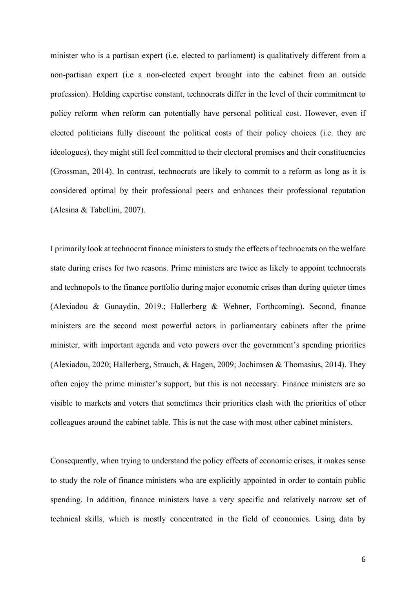minister who is a partisan expert (i.e. elected to parliament) is qualitatively different from a non-partisan expert (i.e a non-elected expert brought into the cabinet from an outside profession). Holding expertise constant, technocrats differ in the level of their commitment to policy reform when reform can potentially have personal political cost. However, even if elected politicians fully discount the political costs of their policy choices (i.e. they are ideologues), they might still feel committed to their electoral promises and their constituencies (Grossman, 2014). In contrast, technocrats are likely to commit to a reform as long as it is considered optimal by their professional peers and enhances their professional reputation (Alesina & Tabellini, 2007).

I primarily look at technocrat finance ministers to study the effects of technocrats on the welfare state during crises for two reasons. Prime ministers are twice as likely to appoint technocrats and technopols to the finance portfolio during major economic crises than during quieter times (Alexiadou & Gunaydin, 2019.; Hallerberg & Wehner, Forthcoming). Second, finance ministers are the second most powerful actors in parliamentary cabinets after the prime minister, with important agenda and veto powers over the government's spending priorities (Alexiadou, 2020; Hallerberg, Strauch, & Hagen, 2009; Jochimsen & Thomasius, 2014). They often enjoy the prime minister's support, but this is not necessary. Finance ministers are so visible to markets and voters that sometimes their priorities clash with the priorities of other colleagues around the cabinet table. This is not the case with most other cabinet ministers.

Consequently, when trying to understand the policy effects of economic crises, it makes sense to study the role of finance ministers who are explicitly appointed in order to contain public spending. In addition, finance ministers have a very specific and relatively narrow set of technical skills, which is mostly concentrated in the field of economics. Using data by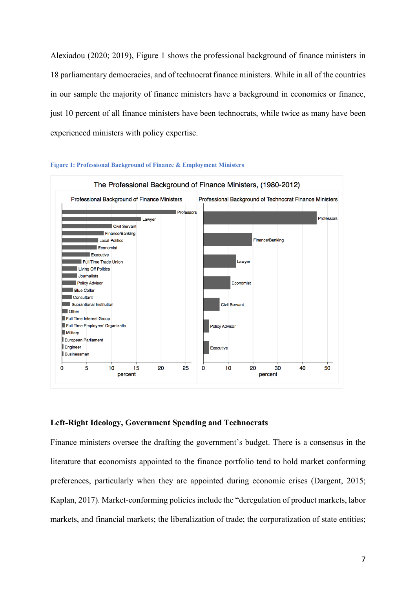Alexiadou (2020; 2019), Figure 1 shows the professional background of finance ministers in 18 parliamentary democracies, and of technocrat finance ministers. While in all of the countries in our sample the majority of finance ministers have a background in economics or finance, just 10 percent of all finance ministers have been technocrats, while twice as many have been experienced ministers with policy expertise.



#### **Figure 1: Professional Background of Finance & Employment Ministers**

# **Left-Right Ideology, Government Spending and Technocrats**

Finance ministers oversee the drafting the government's budget. There is a consensus in the literature that economists appointed to the finance portfolio tend to hold market conforming preferences, particularly when they are appointed during economic crises (Dargent, 2015; Kaplan, 2017). Market-conforming policies include the "deregulation of product markets, labor markets, and financial markets; the liberalization of trade; the corporatization of state entities;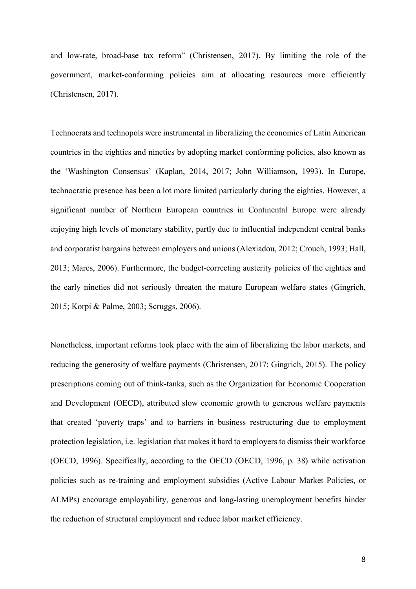and low-rate, broad-base tax reform" (Christensen, 2017). By limiting the role of the government, market-conforming policies aim at allocating resources more efficiently (Christensen, 2017).

Technocrats and technopols were instrumental in liberalizing the economies of Latin American countries in the eighties and nineties by adopting market conforming policies, also known as the 'Washington Consensus' (Kaplan, 2014, 2017; John Williamson, 1993). In Europe, technocratic presence has been a lot more limited particularly during the eighties. However, a significant number of Northern European countries in Continental Europe were already enjoying high levels of monetary stability, partly due to influential independent central banks and corporatist bargains between employers and unions (Alexiadou, 2012; Crouch, 1993; Hall, 2013; Mares, 2006). Furthermore, the budget-correcting austerity policies of the eighties and the early nineties did not seriously threaten the mature European welfare states (Gingrich, 2015; Korpi & Palme, 2003; Scruggs, 2006).

Nonetheless, important reforms took place with the aim of liberalizing the labor markets, and reducing the generosity of welfare payments (Christensen, 2017; Gingrich, 2015). The policy prescriptions coming out of think-tanks, such as the Organization for Economic Cooperation and Development (OECD), attributed slow economic growth to generous welfare payments that created 'poverty traps' and to barriers in business restructuring due to employment protection legislation, i.e. legislation that makes it hard to employers to dismiss their workforce (OECD, 1996). Specifically, according to the OECD (OECD, 1996, p. 38) while activation policies such as re-training and employment subsidies (Active Labour Market Policies, or ALMPs) encourage employability, generous and long-lasting unemployment benefits hinder the reduction of structural employment and reduce labor market efficiency.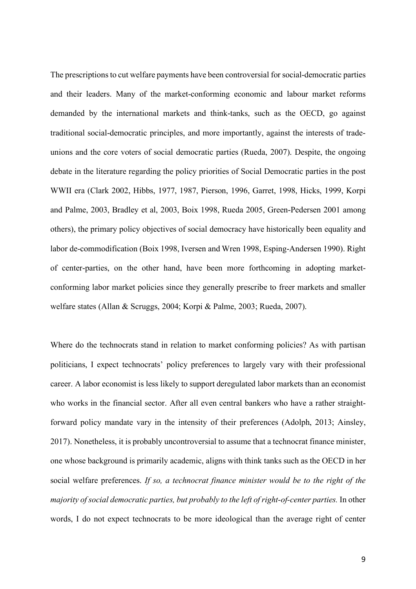The prescriptions to cut welfare payments have been controversial for social-democratic parties and their leaders. Many of the market-conforming economic and labour market reforms demanded by the international markets and think-tanks, such as the OECD, go against traditional social-democratic principles, and more importantly, against the interests of tradeunions and the core voters of social democratic parties (Rueda, 2007). Despite, the ongoing debate in the literature regarding the policy priorities of Social Democratic parties in the post WWII era (Clark 2002, Hibbs, 1977, 1987, Pierson, 1996, Garret, 1998, Hicks, 1999, Korpi and Palme, 2003, Bradley et al, 2003, Boix 1998, Rueda 2005, Green-Pedersen 2001 among others), the primary policy objectives of social democracy have historically been equality and labor de-commodification (Boix 1998, Iversen and Wren 1998, Esping-Andersen 1990). Right of center-parties, on the other hand, have been more forthcoming in adopting marketconforming labor market policies since they generally prescribe to freer markets and smaller welfare states (Allan & Scruggs, 2004; Korpi & Palme, 2003; Rueda, 2007).

Where do the technocrats stand in relation to market conforming policies? As with partisan politicians, I expect technocrats' policy preferences to largely vary with their professional career. A labor economist is less likely to support deregulated labor markets than an economist who works in the financial sector. After all even central bankers who have a rather straightforward policy mandate vary in the intensity of their preferences (Adolph, 2013; Ainsley, 2017). Nonetheless, it is probably uncontroversial to assume that a technocrat finance minister, one whose background is primarily academic, aligns with think tanks such as the OECD in her social welfare preferences. *If so, a technocrat finance minister would be to the right of the majority of social democratic parties, but probably to the left of right-of-center parties.* In other words, I do not expect technocrats to be more ideological than the average right of center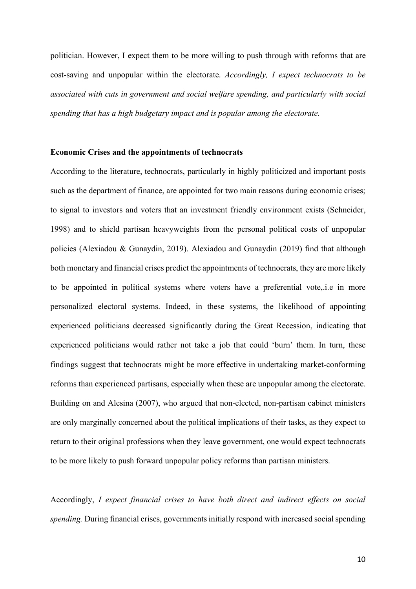politician. However, I expect them to be more willing to push through with reforms that are cost-saving and unpopular within the electorate. *Accordingly, I expect technocrats to be associated with cuts in government and social welfare spending, and particularly with social spending that has a high budgetary impact and is popular among the electorate.*

#### **Economic Crises and the appointments of technocrats**

According to the literature, technocrats, particularly in highly politicized and important posts such as the department of finance, are appointed for two main reasons during economic crises; to signal to investors and voters that an investment friendly environment exists (Schneider, 1998) and to shield partisan heavyweights from the personal political costs of unpopular policies (Alexiadou & Gunaydin, 2019). Alexiadou and Gunaydin (2019) find that although both monetary and financial crises predict the appointments of technocrats, they are more likely to be appointed in political systems where voters have a preferential vote,.i.e in more personalized electoral systems. Indeed, in these systems, the likelihood of appointing experienced politicians decreased significantly during the Great Recession, indicating that experienced politicians would rather not take a job that could 'burn' them. In turn, these findings suggest that technocrats might be more effective in undertaking market-conforming reforms than experienced partisans, especially when these are unpopular among the electorate. Building on and Alesina (2007), who argued that non-elected, non-partisan cabinet ministers are only marginally concerned about the political implications of their tasks, as they expect to return to their original professions when they leave government, one would expect technocrats to be more likely to push forward unpopular policy reforms than partisan ministers.

Accordingly, *I expect financial crises to have both direct and indirect effects on social spending.* During financial crises, governments initially respond with increased social spending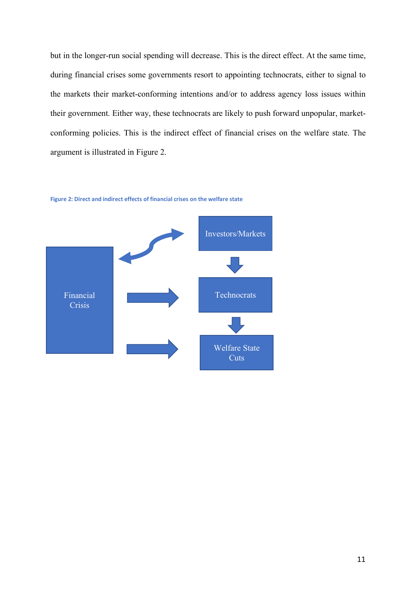but in the longer-run social spending will decrease. This is the direct effect. At the same time, during financial crises some governments resort to appointing technocrats, either to signal to the markets their market-conforming intentions and/or to address agency loss issues within their government. Either way, these technocrats are likely to push forward unpopular, marketconforming policies. This is the indirect effect of financial crises on the welfare state. The argument is illustrated in Figure 2.



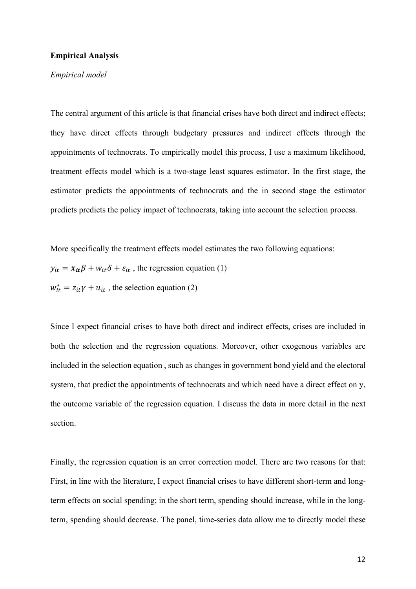# **Empirical Analysis**

# *Empirical model*

The central argument of this article is that financial crises have both direct and indirect effects; they have direct effects through budgetary pressures and indirect effects through the appointments of technocrats. To empirically model this process, I use a maximum likelihood, treatment effects model which is a two-stage least squares estimator. In the first stage, the estimator predicts the appointments of technocrats and the in second stage the estimator predicts predicts the policy impact of technocrats, taking into account the selection process.

More specifically the treatment effects model estimates the two following equations:  $y_{it} = x_{it} \beta + w_{it} \delta + \varepsilon_{it}$ , the regression equation (1)  $w_{it}^* = z_{it}\gamma + u_{it}$ , the selection equation (2)

Since I expect financial crises to have both direct and indirect effects, crises are included in both the selection and the regression equations. Moreover, other exogenous variables are included in the selection equation , such as changes in government bond yield and the electoral system, that predict the appointments of technocrats and which need have a direct effect on y, the outcome variable of the regression equation. I discuss the data in more detail in the next section.

Finally, the regression equation is an error correction model. There are two reasons for that: First, in line with the literature, I expect financial crises to have different short-term and longterm effects on social spending; in the short term, spending should increase, while in the longterm, spending should decrease. The panel, time-series data allow me to directly model these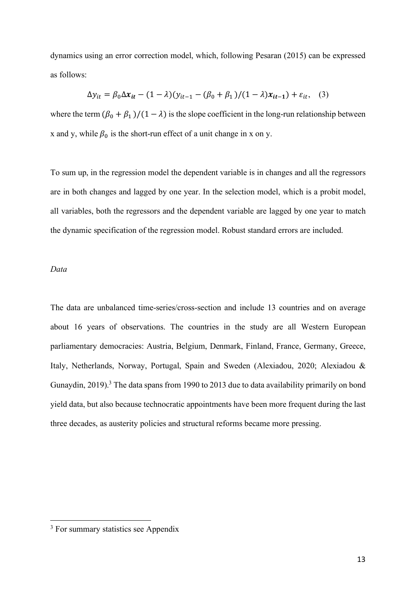dynamics using an error correction model, which, following Pesaran (2015) can be expressed as follows:

$$
\Delta y_{it} = \beta_0 \Delta x_{it} - (1 - \lambda)(y_{it-1} - (\beta_0 + \beta_1)/(1 - \lambda)x_{it-1}) + \varepsilon_{it}, \quad (3)
$$

where the term  $(\beta_0 + \beta_1)/(1 - \lambda)$  is the slope coefficient in the long-run relationship between x and y, while  $\beta_0$  is the short-run effect of a unit change in x on y.

To sum up, in the regression model the dependent variable is in changes and all the regressors are in both changes and lagged by one year. In the selection model, which is a probit model, all variables, both the regressors and the dependent variable are lagged by one year to match the dynamic specification of the regression model. Robust standard errors are included.

### *Data*

The data are unbalanced time-series/cross-section and include 13 countries and on average about 16 years of observations. The countries in the study are all Western European parliamentary democracies: Austria, Belgium, Denmark, Finland, France, Germany, Greece, Italy, Netherlands, Norway, Portugal, Spain and Sweden (Alexiadou, 2020; Alexiadou & Gunaydin, 2019).<sup>3</sup> The data spans from 1990 to 2013 due to data availability primarily on bond yield data, but also because technocratic appointments have been more frequent during the last three decades, as austerity policies and structural reforms became more pressing.

<sup>&</sup>lt;sup>3</sup> For summary statistics see Appendix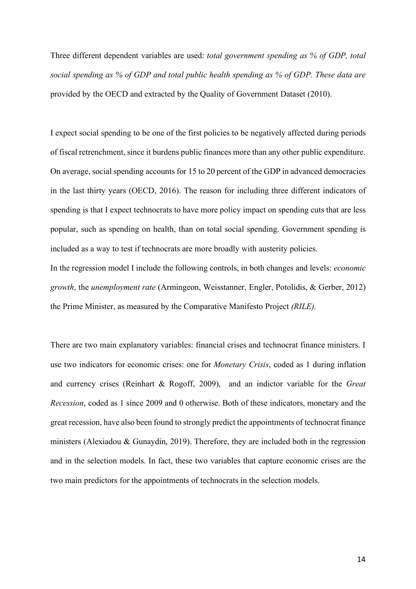Three different dependent variables are used: *total government spending as % of GDP, total social spending as % of GDP and total public health spending as % of GDP. These data are*  provided by the OECD and extracted by the Quality of Government Dataset (2010).

I expect social spending to be one of the first policies to be negatively affected during periods of fiscal retrenchment, since it burdens public finances more than any other public expenditure. On average, social spending accounts for 15 to 20 percent of the GDP in advanced democracies in the last thirty years (OECD, 2016). The reason for including three different indicators of spending is that I expect technocrats to have more policy impact on spending cuts that are less popular, such as spending on health, than on total social spending. Government spending is included as a way to test if technocrats are more broadly with austerity policies.

In the regression model I include the following controls, in both changes and levels: *economic growth*, the *unemployment rate* (Armingeon, Weisstanner, Engler, Potolidis, & Gerber, 2012) the Prime Minister, as measured by the Comparative Manifesto Project *(RILE).*

There are two main explanatory variables: financial crises and technocrat finance ministers. I use two indicators for economic crises: one for *Monetary Crisis*, coded as 1 during inflation and currency crises (Reinhart & Rogoff, 2009), and an indictor variable for the *Great Recession*, coded as 1 since 2009 and 0 otherwise. Both of these indicators, monetary and the great recession, have also been found to strongly predict the appointments of technocrat finance ministers (Alexiadou & Gunaydin, 2019). Therefore, they are included both in the regression and in the selection models. In fact, these two variables that capture economic crises are the two main predictors for the appointments of technocrats in the selection models.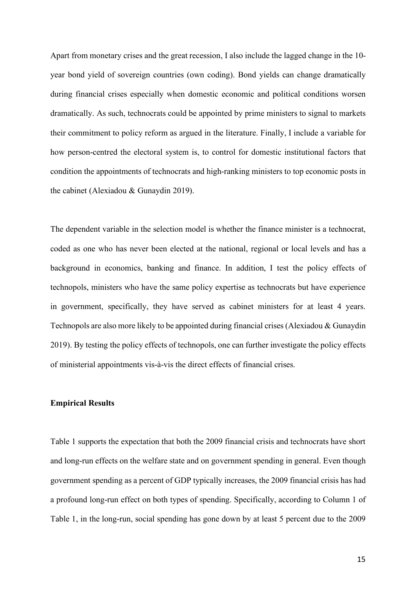Apart from monetary crises and the great recession, I also include the lagged change in the 10 year bond yield of sovereign countries (own coding). Bond yields can change dramatically during financial crises especially when domestic economic and political conditions worsen dramatically. As such, technocrats could be appointed by prime ministers to signal to markets their commitment to policy reform as argued in the literature. Finally, I include a variable for how person-centred the electoral system is, to control for domestic institutional factors that condition the appointments of technocrats and high-ranking ministers to top economic posts in the cabinet (Alexiadou & Gunaydin 2019).

The dependent variable in the selection model is whether the finance minister is a technocrat, coded as one who has never been elected at the national, regional or local levels and has a background in economics, banking and finance. In addition, I test the policy effects of technopols, ministers who have the same policy expertise as technocrats but have experience in government, specifically, they have served as cabinet ministers for at least 4 years. Technopols are also more likely to be appointed during financial crises (Alexiadou & Gunaydin 2019). By testing the policy effects of technopols, one can further investigate the policy effects of ministerial appointments vis-à-vis the direct effects of financial crises.

# **Empirical Results**

Table 1 supports the expectation that both the 2009 financial crisis and technocrats have short and long-run effects on the welfare state and on government spending in general. Even though government spending as a percent of GDP typically increases, the 2009 financial crisis has had a profound long-run effect on both types of spending. Specifically, according to Column 1 of Table 1, in the long-run, social spending has gone down by at least 5 percent due to the 2009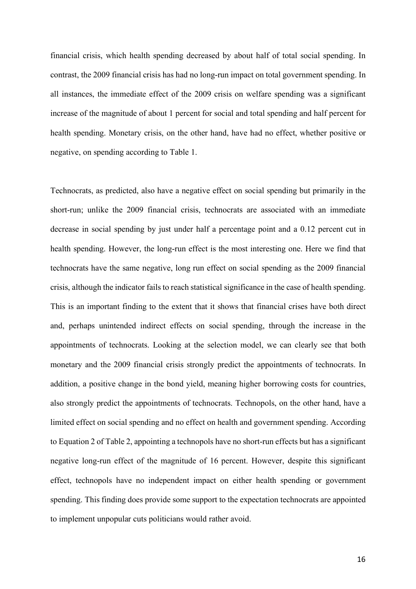financial crisis, which health spending decreased by about half of total social spending. In contrast, the 2009 financial crisis has had no long-run impact on total government spending. In all instances, the immediate effect of the 2009 crisis on welfare spending was a significant increase of the magnitude of about 1 percent for social and total spending and half percent for health spending. Monetary crisis, on the other hand, have had no effect, whether positive or negative, on spending according to Table 1.

Technocrats, as predicted, also have a negative effect on social spending but primarily in the short-run; unlike the 2009 financial crisis, technocrats are associated with an immediate decrease in social spending by just under half a percentage point and a 0.12 percent cut in health spending. However, the long-run effect is the most interesting one. Here we find that technocrats have the same negative, long run effect on social spending as the 2009 financial crisis, although the indicator fails to reach statistical significance in the case of health spending. This is an important finding to the extent that it shows that financial crises have both direct and, perhaps unintended indirect effects on social spending, through the increase in the appointments of technocrats. Looking at the selection model, we can clearly see that both monetary and the 2009 financial crisis strongly predict the appointments of technocrats. In addition, a positive change in the bond yield, meaning higher borrowing costs for countries, also strongly predict the appointments of technocrats. Technopols, on the other hand, have a limited effect on social spending and no effect on health and government spending. According to Equation 2 of Table 2, appointing a technopols have no short-run effects but has a significant negative long-run effect of the magnitude of 16 percent. However, despite this significant effect, technopols have no independent impact on either health spending or government spending. This finding does provide some support to the expectation technocrats are appointed to implement unpopular cuts politicians would rather avoid.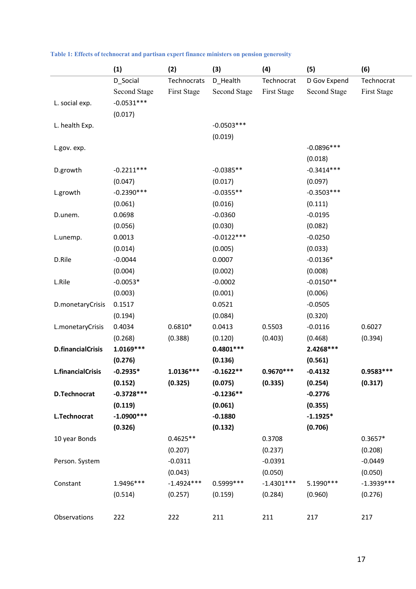|                          | (1)                 | (2)          | (3)                 | (4)                | (5)                 | (6)          |
|--------------------------|---------------------|--------------|---------------------|--------------------|---------------------|--------------|
|                          | D_Social            | Technocrats  | D_Health            | Technocrat         | D Gov Expend        | Technocrat   |
|                          | <b>Second Stage</b> | First Stage  | <b>Second Stage</b> | <b>First Stage</b> | <b>Second Stage</b> | First Stage  |
| L. social exp.           | $-0.0531***$        |              |                     |                    |                     |              |
|                          | (0.017)             |              |                     |                    |                     |              |
| L. health Exp.           |                     |              | $-0.0503***$        |                    |                     |              |
|                          |                     |              | (0.019)             |                    |                     |              |
| L.gov. exp.              |                     |              |                     |                    | $-0.0896***$        |              |
|                          |                     |              |                     |                    | (0.018)             |              |
| D.growth                 | $-0.2211***$        |              | $-0.0385**$         |                    | $-0.3414***$        |              |
|                          | (0.047)             |              | (0.017)             |                    | (0.097)             |              |
| L.growth                 | $-0.2390***$        |              | $-0.0355**$         |                    | $-0.3503***$        |              |
|                          | (0.061)             |              | (0.016)             |                    | (0.111)             |              |
| D.unem.                  | 0.0698              |              | $-0.0360$           |                    | $-0.0195$           |              |
|                          | (0.056)             |              | (0.030)             |                    | (0.082)             |              |
| L.unemp.                 | 0.0013              |              | $-0.0122***$        |                    | $-0.0250$           |              |
|                          | (0.014)             |              | (0.005)             |                    | (0.033)             |              |
| D.Rile                   | $-0.0044$           |              | 0.0007              |                    | $-0.0136*$          |              |
|                          | (0.004)             |              | (0.002)             |                    | (0.008)             |              |
| L.Rile                   | $-0.0053*$          |              | $-0.0002$           |                    | $-0.0150**$         |              |
|                          | (0.003)             |              | (0.001)             |                    | (0.006)             |              |
| D.monetaryCrisis         | 0.1517              |              | 0.0521              |                    | $-0.0505$           |              |
|                          | (0.194)             |              | (0.084)             |                    | (0.320)             |              |
| L.monetaryCrisis         | 0.4034              | $0.6810*$    | 0.0413              | 0.5503             | $-0.0116$           | 0.6027       |
|                          | (0.268)             | (0.388)      | (0.120)             | (0.403)            | (0.468)             | (0.394)      |
| <b>D.financialCrisis</b> | $1.0169***$         |              | $0.4801***$         |                    | 2.4268 ***          |              |
|                          | (0.276)             |              | (0.136)             |                    | (0.561)             |              |
| L.financialCrisis        | $-0.2935*$          | $1.0136***$  | $-0.1622**$         | 0.9670 ***         | $-0.4132$           | 0.9583 ***   |
|                          | (0.152)             | (0.325)      | (0.075)             | (0.335)            | (0.254)             | (0.317)      |
| D.Technocrat             | $-0.3728***$        |              | $-0.1236**$         |                    | $-0.2776$           |              |
|                          | (0.119)             |              | (0.061)             |                    | (0.355)             |              |
| L.Technocrat             | $-1.0900***$        |              | $-0.1880$           |                    | $-1.1925*$          |              |
|                          | (0.326)             |              | (0.132)             |                    | (0.706)             |              |
| 10 year Bonds            |                     | $0.4625**$   |                     | 0.3708             |                     | $0.3657*$    |
|                          |                     | (0.207)      |                     | (0.237)            |                     | (0.208)      |
| Person. System           |                     | $-0.0311$    |                     | $-0.0391$          |                     | $-0.0449$    |
|                          |                     | (0.043)      |                     | (0.050)            |                     | (0.050)      |
| Constant                 | 1.9496 ***          | $-1.4924***$ | 0.5999 ***          | $-1.4301***$       | 5.1990 ***          | $-1.3939***$ |
|                          | (0.514)             | (0.257)      | (0.159)             | (0.284)            | (0.960)             | (0.276)      |
|                          |                     |              |                     |                    |                     |              |
| Observations             | 222                 | 222          | 211                 | 211                | 217                 | 217          |

# **Table 1: Effects of technocrat and partisan expert finance ministers on pension generosity**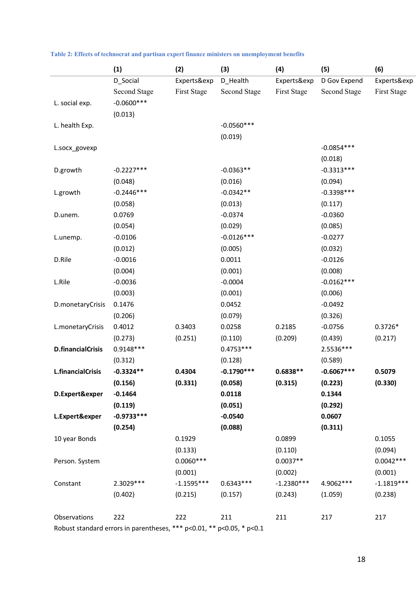|                          | (1)                 | (2)          | (3)                 | (4)                | (5)                 | (6)          |
|--------------------------|---------------------|--------------|---------------------|--------------------|---------------------|--------------|
|                          | D_Social            | Experts&exp  | D_Health            | Experts&exp        | D Gov Expend        | Experts&exp  |
|                          | <b>Second Stage</b> | First Stage  | <b>Second Stage</b> | <b>First Stage</b> | <b>Second Stage</b> | First Stage  |
| L. social exp.           | $-0.0600$ ***       |              |                     |                    |                     |              |
|                          | (0.013)             |              |                     |                    |                     |              |
| L. health Exp.           |                     |              | $-0.0560***$        |                    |                     |              |
|                          |                     |              | (0.019)             |                    |                     |              |
| L.socx_govexp            |                     |              |                     |                    | $-0.0854***$        |              |
|                          |                     |              |                     |                    | (0.018)             |              |
| D.growth                 | $-0.2227***$        |              | $-0.0363**$         |                    | $-0.3313***$        |              |
|                          | (0.048)             |              | (0.016)             |                    | (0.094)             |              |
| L.growth                 | $-0.2446***$        |              | $-0.0342**$         |                    | $-0.3398***$        |              |
|                          | (0.058)             |              | (0.013)             |                    | (0.117)             |              |
| D.unem.                  | 0.0769              |              | $-0.0374$           |                    | $-0.0360$           |              |
|                          | (0.054)             |              | (0.029)             |                    | (0.085)             |              |
| L.unemp.                 | $-0.0106$           |              | $-0.0126***$        |                    | $-0.0277$           |              |
|                          | (0.012)             |              | (0.005)             |                    | (0.032)             |              |
| D.Rile                   | $-0.0016$           |              | 0.0011              |                    | $-0.0126$           |              |
|                          | (0.004)             |              | (0.001)             |                    | (0.008)             |              |
| L.Rile                   | $-0.0036$           |              | $-0.0004$           |                    | $-0.0162***$        |              |
|                          | (0.003)             |              | (0.001)             |                    | (0.006)             |              |
| D.monetaryCrisis         | 0.1476              |              | 0.0452              |                    | $-0.0492$           |              |
|                          | (0.206)             |              | (0.079)             |                    | (0.326)             |              |
| L.monetaryCrisis         | 0.4012              | 0.3403       | 0.0258              | 0.2185             | $-0.0756$           | $0.3726*$    |
|                          | (0.273)             | (0.251)      | (0.110)             | (0.209)            | (0.439)             | (0.217)      |
| <b>D.financialCrisis</b> | $0.9148***$         |              | $0.4753***$         |                    | 2.5536 ***          |              |
|                          | (0.312)             |              | (0.128)             |                    | (0.589)             |              |
| <b>L.financialCrisis</b> | $-0.3324**$         | 0.4304       | $-0.1790***$        | $0.6838**$         | $-0.6067***$        | 0.5079       |
|                          | (0.156)             | (0.331)      | (0.058)             | (0.315)            | (0.223)             | (0.330)      |
| D.Expert&exper           | $-0.1464$           |              | 0.0118              |                    | 0.1344              |              |
|                          | (0.119)             |              | (0.051)             |                    | (0.292)             |              |
| L.Expert&exper           | $-0.9733***$        |              | $-0.0540$           |                    | 0.0607              |              |
|                          | (0.254)             |              | (0.088)             |                    | (0.311)             |              |
| 10 year Bonds            |                     | 0.1929       |                     | 0.0899             |                     | 0.1055       |
|                          |                     | (0.133)      |                     | (0.110)            |                     | (0.094)      |
| Person. System           |                     | $0.0060***$  |                     | $0.0037**$         |                     | $0.0042***$  |
|                          |                     | (0.001)      |                     | (0.002)            |                     | (0.001)      |
| Constant                 | 2.3029 ***          | $-1.1595***$ | $0.6343***$         | $-1.2380***$       | 4.9062 ***          | $-1.1819***$ |
|                          | (0.402)             | (0.215)      | (0.157)             | (0.243)            | (1.059)             | (0.238)      |
| Observations             | 222                 | 222          | 211                 | 211                | 217                 | 217          |
|                          |                     |              |                     |                    |                     |              |

|  |  | Table 2: Effects of technocrat and partisan expert finance ministers on unemployment benefits |  |  |  |  |  |  |  |  |  |
|--|--|-----------------------------------------------------------------------------------------------|--|--|--|--|--|--|--|--|--|
|--|--|-----------------------------------------------------------------------------------------------|--|--|--|--|--|--|--|--|--|

Robust standard errors in parentheses, \*\*\* p<0.01, \*\* p<0.05, \* p<0.1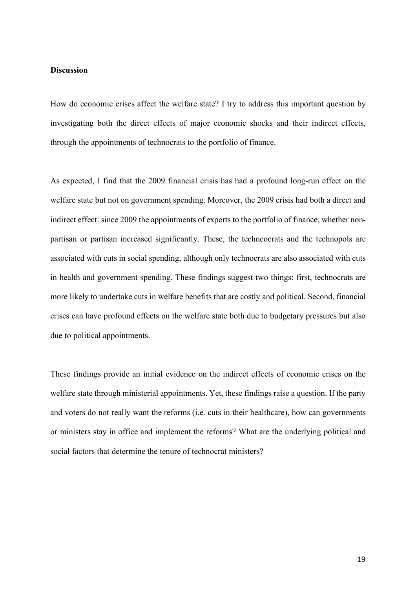# **Discussion**

How do economic crises affect the welfare state? I try to address this important question by investigating both the direct effects of major economic shocks and their indirect effects, through the appointments of technocrats to the portfolio of finance.

As expected, I find that the 2009 financial crisis has had a profound long-run effect on the welfare state but not on government spending. Moreover, the 2009 crisis had both a direct and indirect effect: since 2009 the appointments of experts to the portfolio of finance, whether nonpartisan or partisan increased significantly. These, the techncocrats and the technopols are associated with cuts in social spending, although only technocrats are also associated with cuts in health and government spending. These findings suggest two things: first, technocrats are more likely to undertake cuts in welfare benefits that are costly and political. Second, financial crises can have profound effects on the welfare state both due to budgetary pressures but also due to political appointments.

These findings provide an initial evidence on the indirect effects of economic crises on the welfare state through ministerial appointments. Yet, these findings raise a question. If the party and voters do not really want the reforms (i.e. cuts in their healthcare), how can governments or ministers stay in office and implement the reforms? What are the underlying political and social factors that determine the tenure of technocrat ministers?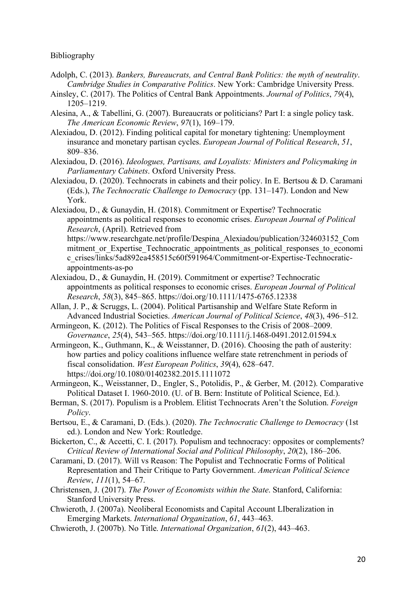# Bibliography

- Adolph, C. (2013). *Bankers, Bureaucrats, and Central Bank Politics: the myth of neutrality*. *Cambridge Studies in Comparative Politics*. New York: Cambridge University Press.
- Ainsley, C. (2017). The Politics of Central Bank Appointments. *Journal of Politics*, *79*(4), 1205–1219.
- Alesina, A., & Tabellini, G. (2007). Bureaucrats or politicians? Part I: a single policy task. *The American Economic Review*, *97*(1), 169–179.
- Alexiadou, D. (2012). Finding political capital for monetary tightening: Unemployment insurance and monetary partisan cycles. *European Journal of Political Research*, *51*, 809–836.
- Alexiadou, D. (2016). *Ideologues, Partisans, and Loyalists: Ministers and Policymaking in Parliamentary Cabinets*. Oxford University Press.
- Alexiadou, D. (2020). Technocrats in cabinets and their policy. In E. Bertsou & D. Caramani (Eds.), *The Technocratic Challenge to Democracy* (pp. 131–147). London and New York.
- Alexiadou, D., & Gunaydin, H. (2018). Commitment or Expertise? Technocratic appointments as political responses to economic crises. *European Journal of Political Research*, (April). Retrieved from
	- https://www.researchgate.net/profile/Despina\_Alexiadou/publication/324603152\_Com mitment or Expertise Technocratic appointments as political responses to economi c\_crises/links/5ad892ea458515c60f591964/Commitment-or-Expertise-Technocraticappointments-as-po
- Alexiadou, D., & Gunaydin, H. (2019). Commitment or expertise? Technocratic appointments as political responses to economic crises. *European Journal of Political Research*, *58*(3), 845–865. https://doi.org/10.1111/1475-6765.12338
- Allan, J. P., & Scruggs, L. (2004). Political Partisanship and Welfare State Reform in Advanced Industrial Societies. *American Journal of Political Science*, *48*(3), 496–512.
- Armingeon, K. (2012). The Politics of Fiscal Responses to the Crisis of 2008–2009. *Governance*, *25*(4), 543–565. https://doi.org/10.1111/j.1468-0491.2012.01594.x
- Armingeon, K., Guthmann, K., & Weisstanner, D. (2016). Choosing the path of austerity: how parties and policy coalitions influence welfare state retrenchment in periods of fiscal consolidation. *West European Politics*, *39*(4), 628–647. https://doi.org/10.1080/01402382.2015.1111072
- Armingeon, K., Weisstanner, D., Engler, S., Potolidis, P., & Gerber, M. (2012). Comparative Political Dataset I. 1960-2010. (U. of B. Bern: Institute of Political Science, Ed.).
- Berman, S. (2017). Populism is a Problem. Elitist Technocrats Aren't the Solution. *Foreign Policy*.
- Bertsou, E., & Caramani, D. (Eds.). (2020). *The Technocratic Challenge to Democracy* (1st ed.). London and New York: Routledge.
- Bickerton, C., & Accetti, C. I. (2017). Populism and technocracy: opposites or complements? *Critical Review of International Social and Political Philosophy*, *20*(2), 186–206.
- Caramani, D. (2017). Will vs Reason: The Populist and Technocratic Forms of Political Representation and Their Critique to Party Government. *American Political Science Review*, *111*(1), 54–67.
- Christensen, J. (2017). *The Power of Economists within the State*. Stanford, California: Stanford University Press.
- Chwieroth, J. (2007a). Neoliberal Economists and Capital Account LIberalization in Emerging Markets. *International Organization*, *61*, 443–463.
- Chwieroth, J. (2007b). No Title. *International Organization*, *61*(2), 443–463.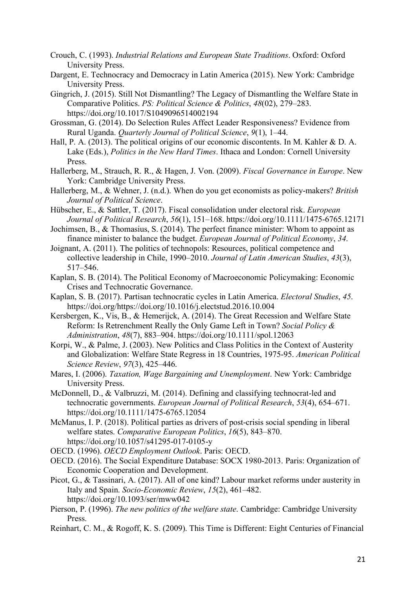- Crouch, C. (1993). *Industrial Relations and European State Traditions*. Oxford: Oxford University Press.
- Dargent, E. Technocracy and Democracy in Latin America (2015). New York: Cambridge University Press.
- Gingrich, J. (2015). Still Not Dismantling? The Legacy of Dismantling the Welfare State in Comparative Politics. *PS: Political Science & Politics*, *48*(02), 279–283. https://doi.org/10.1017/S1049096514002194
- Grossman, G. (2014). Do Selection Rules Affect Leader Responsiveness? Evidence from Rural Uganda. *Quarterly Journal of Political Science*, *9*(1), 1–44.
- Hall, P. A. (2013). The political origins of our economic discontents. In M. Kahler & D. A. Lake (Eds.), *Politics in the New Hard Times*. Ithaca and London: Cornell University Press.
- Hallerberg, M., Strauch, R. R., & Hagen, J. Von. (2009). *Fiscal Governance in Europe*. New York: Cambridge University Press.
- Hallerberg, M., & Wehner, J. (n.d.). When do you get economists as policy-makers? *British Journal of Political Science*.
- Hübscher, E., & Sattler, T. (2017). Fiscal consolidation under electoral risk. *European Journal of Political Research*, *56*(1), 151–168. https://doi.org/10.1111/1475-6765.12171
- Jochimsen, B., & Thomasius, S. (2014). The perfect finance minister: Whom to appoint as finance minister to balance the budget. *European Journal of Political Economy*, *34*.
- Joignant, A. (2011). The politics of technopols: Resources, political competence and collective leadership in Chile, 1990–2010. *Journal of Latin American Studies*, *43*(3), 517–546.
- Kaplan, S. B. (2014). The Political Economy of Macroeconomic Policymaking: Economic Crises and Technocratic Governance.
- Kaplan, S. B. (2017). Partisan technocratic cycles in Latin America. *Electoral Studies*, *45*. https://doi.org/https://doi.org/10.1016/j.electstud.2016.10.004
- Kersbergen, K., Vis, B., & Hemerijck, A. (2014). The Great Recession and Welfare State Reform: Is Retrenchment Really the Only Game Left in Town? *Social Policy & Administration*, *48*(7), 883–904. https://doi.org/10.1111/spol.12063
- Korpi, W., & Palme, J. (2003). New Politics and Class Politics in the Context of Austerity and Globalization: Welfare State Regress in 18 Countries, 1975-95. *American Political Science Review*, *97*(3), 425–446.
- Mares, I. (2006). *Taxation, Wage Bargaining and Unemployment*. New York: Cambridge University Press.
- McDonnell, D., & Valbruzzi, M. (2014). Defining and classifying technocrat-led and technocratic governments. *European Journal of Political Research*, *53*(4), 654–671. https://doi.org/10.1111/1475-6765.12054
- McManus, I. P. (2018). Political parties as drivers of post-crisis social spending in liberal welfare states. *Comparative European Politics*, *16*(5), 843–870. https://doi.org/10.1057/s41295-017-0105-y

OECD. (1996). *OECD Employment Outlook*. Paris: OECD.

- OECD. (2016). The Social Expenditure Database: SOCX 1980-2013. Paris: Organization of Economic Cooperation and Development.
- Picot, G., & Tassinari, A. (2017). All of one kind? Labour market reforms under austerity in Italy and Spain. *Socio-Economic Review*, *15*(2), 461–482. https://doi.org/10.1093/ser/mww042
- Pierson, P. (1996). *The new politics of the welfare state*. Cambridge: Cambridge University Press.
- Reinhart, C. M., & Rogoff, K. S. (2009). This Time is Different: Eight Centuries of Financial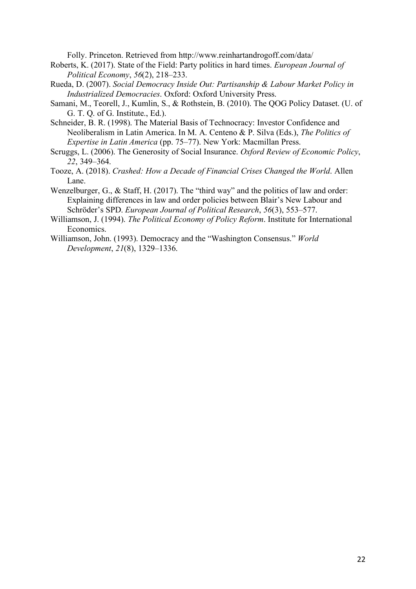Folly. Princeton. Retrieved from http://www.reinhartandrogoff.com/data/

- Roberts, K. (2017). State of the Field: Party politics in hard times. *European Journal of Political Economy*, *56*(2), 218–233.
- Rueda, D. (2007). *Social Democracy Inside Out: Partisanship & Labour Market Policy in Industrialized Democracies*. Oxford: Oxford University Press.
- Samani, M., Teorell, J., Kumlin, S., & Rothstein, B. (2010). The QOG Policy Dataset. (U. of G. T. Q. of G. Institute., Ed.).
- Schneider, B. R. (1998). The Material Basis of Technocracy: Investor Confidence and Neoliberalism in Latin America. In M. A. Centeno & P. Silva (Eds.), *The Politics of Expertise in Latin America* (pp. 75–77). New York: Macmillan Press.
- Scruggs, L. (2006). The Generosity of Social Insurance. *Oxford Review of Economic Policy*, *22*, 349–364.
- Tooze, A. (2018). *Crashed: How a Decade of Financial Crises Changed the World*. Allen Lane.
- Wenzelburger, G., & Staff, H. (2017). The "third way" and the politics of law and order: Explaining differences in law and order policies between Blair's New Labour and Schröder's SPD. *European Journal of Political Research*, *56*(3), 553–577.
- Williamson, J. (1994). *The Political Economy of Policy Reform*. Institute for International Economics.
- Williamson, John. (1993). Democracy and the "Washington Consensus." *World Development*, *21*(8), 1329–1336.